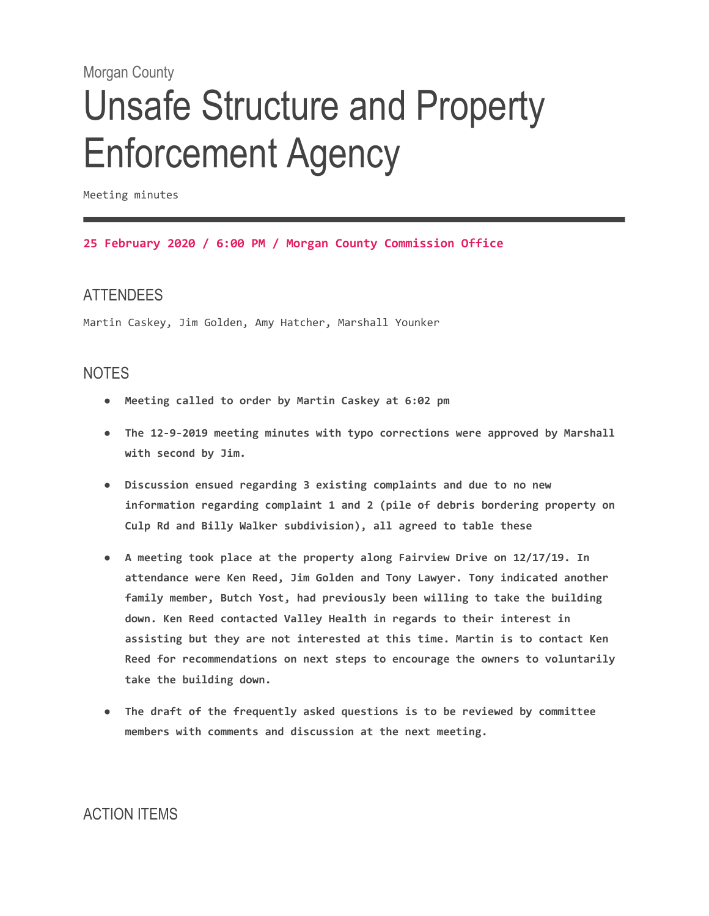#### Morgan County

# Unsafe Structure and Property Enforcement Agency

Meeting minutes

#### **25 February 2020 / 6:00 PM / Morgan County Commission Office**

#### ATTENDEES

Martin Caskey, Jim Golden, Amy Hatcher, Marshall Younker

#### NOTES

- **Meeting called to order by Martin Caskey at 6:02 pm**
- **The 12-9-2019 meeting minutes with typo corrections were approved by Marshall with second by Jim.**
- **Discussion ensued regarding 3 existing complaints and due to no new information regarding complaint 1 and 2 (pile of debris bordering property on Culp Rd and Billy Walker subdivision), all agreed to table these**
- **A meeting took place at the property along Fairview Drive on 12/17/19. In attendance were Ken Reed, Jim Golden and Tony Lawyer. Tony indicated another family member, Butch Yost, had previously been willing to take the building down. Ken Reed contacted Valley Health in regards to their interest in assisting but they are not interested at this time. Martin is to contact Ken Reed for recommendations on next steps to encourage the owners to voluntarily take the building down.**
- **The draft of the frequently asked questions is to be reviewed by committee members with comments and discussion at the next meeting.**

### ACTION ITEMS